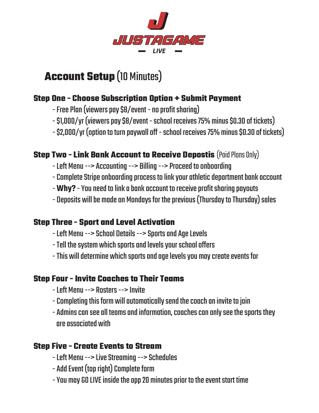

# **Account Setup** (10 Minutes)

## **Step One - Choose Subscription Option + Submit Payment**

- Free Plan (viewers pay \$8/event no profit sharing)
- \$1,000/yr (viewers pay \$8/event school receives 75% minus \$0.30 of tickets)
- \$2,000/yr (option to turn paywall off school receives 75% minus \$0.30 of tickets)

### **Step Two - Link Bank Account to Receive Depostis (Paid Plans Only)**

- Left Menu --> Accounting --> Billing --> Proceed to onboarding
- Complete Stripe onboarding process to link your athletic department bank account
- **Why?** You need to link a bank account to receive profit sharing payouts
- Deposits will be made on Mondays for the previous (Thursday to Thursday) sales

#### **Step Three - Sport and Level Activation**

- Left Menu --> School Details --> Sports and Age Levels
- Tell the system which sports and levels your school offers
- This will determine which sports and age levels you may create events for

#### **Step Four - Invite Coaches to Their Teams**

- Left Menu --> Rosters --> Invite
- Completing this form will automatically send the coach an invite to join
- Admins can see all teams and information, coaches can only see the sports they are associated with

### **Step Five - Create Events to Stream**

- Left Menu --> Live Streaming --> Schedules
- Add Event (top right) Complete form
- You may GO LIVE inside the app 20 minutes prior to the event start time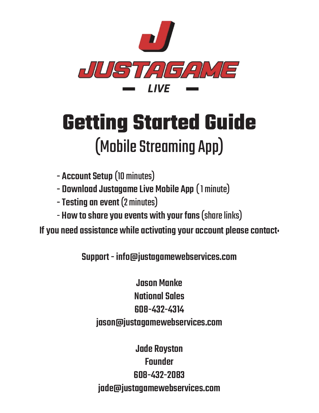

# **Getting Started Guide** (Mobile Streaming App)

- Account Setup (10 minutes)
- Download Justagame Live Mobile App ( 1 minute)
- Testing an event (2 minutes)
- How to share you events with your fans (share links)

If you need assistance while activating your account please contact:

Support - info@justagamewebservices.com

Jason Manke National Sales 608-432-4314 jason@justagamewebservices.com

Jade Royston **Founder** 608-432-2083 jade@justagamewebservices.com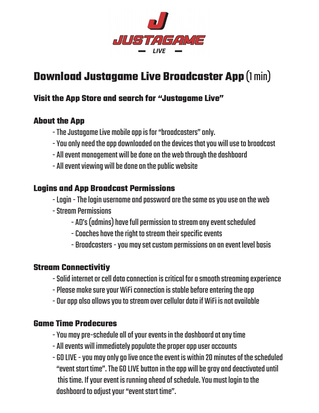

# **Download Justagame Live Broadcaster App** (1 min)

#### **Visit the App Store and search for "Justagame Live"**

#### **About the App**

- The Justagame Live mobile app is for "broadcasters" only.
- You only need the app downloaded on the devices that you will use to broadcast
- All event management will be done on the web through the dashboard
- All event viewing will be done on the public website

#### **Logins and App Broadcast Permissions**

- Login The login username and password are the same as you use on the web
- Stream Permissions
	- AD's (admins) have full permission to stream any event scheduled
	- Coaches have the right to stream their specific events
	- Broadcasters you may set custom permissions on an event level basis

#### **Stream Connectivitiy**

- Solid internet or cell data connection is critical for a smooth streaming experience
- Please make sure your WiFi connection is stable before entering the app
- Our app also allows you to stream over cellular data if WiFi is not available

#### **Game Time Prodecures**

- You may pre-schedule all of your events in the dashboard at any time
- All events will immediately populate the proper app user accounts
- GO LIVE you may only go live once the event is within 20 minutes of the scheduled "event start time". The GO LIVE button in the app will be gray and deactivated until this time. If your event is running ahead of schedule. You must login to the dashboard to adjust your "event start time".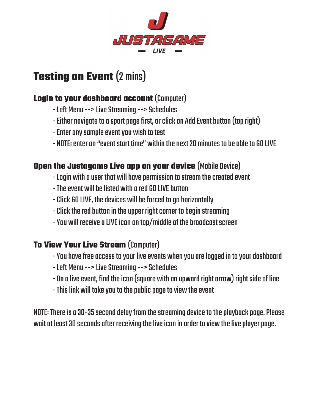

# **Testing an Event (2 mins)**

### **Login to your dashboard account** (Computer)

- Left Menu --> Live Streaming --> Schedules
- Either navigate to a sport page first, or click on Add Event button (top right)
- Enter any sample event you wish to test
- NOTE: enter an "event start time" within the next 20 minutes to be able to GO LIVE

### **Open the Justagame Live app on your device** (Mobile Device)

- Login with a user that will have permission to stream the created event
- The event will be listed with a red GO LIVE button
- Click GO LIVE, the devices will be forced to go horizontally
- Click the red button in the upper right corner to begin streaming
- You will receive a LIVE icon on top/middle of the broadcast screen

## **To View Your Live Stream** (Computer)

- You have free access to your live events when you are logged in to your dashboard
- Left Menu --> Live Streaming --> Schedules
- On a live event, find the icon (square with an upward right arrow) right side of line
- This link will take you to the public page to view the event

NOTE: There is a 30-35 second delay from the streaming device to the playback page. Please wait at least 30 seconds after receiving the live icon in order to view the live player page.